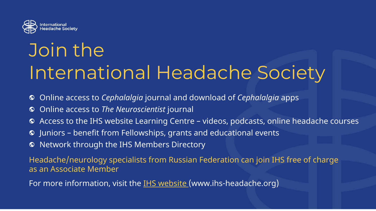

## Join the International Headache Society

- Online access to *Cephalalgia* journal and download of *Cephalalgia* apps  $\bullet$
- Online access to *The Neuroscientist* journal  $\bullet$
- Access to the IHS website Learning Centre videos, podcasts, online headache courses  $\bullet$
- Juniors benefit from Fellowships, grants and educational events  $\bullet$
- Network through the IHS Members Directory  $\bullet$

Headache/neurology specialists from Russian Federation can join IHS free of charge as an Associate Member

For more information, visit the **[IHS website \(](https://ihs-headache.org/en/)www.ihs-headache.org)**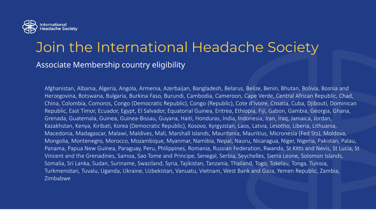

## Join the International Headache Society

Associate Membership country eligibility

Afghanistan, Albania, Algeria, Angola, Armenia, Azerbaijan, Bangladesh, Belarus, Belize, Benin, Bhutan, Bolivia, Bosnia and Herzegovina, Botswana, Bulgaria, Burkina Faso, Burundi, Cambodia, Cameroon, Cape Verde, Central African Republic, Chad, China, Colombia, Comoros, Congo (Democratic Republic), Congo (Republic), Cote d'Ivoire, Croatia, Cuba, Djibouti, Dominican Republic, East Timor, Ecuador, Egypt, El Salvador, Equatorial Guinea, Eritrea, Ethiopia, Fiji, Gabon, Gambia, Georgia, Ghana, Grenada, Guatemala, Guinea, Guinea-Bissau, Guyana, Haiti, Honduras, India, Indonesia, Iran, Iraq, Jamaica, Jordan, Kazakhstan, Kenya, Kiribati, Korea (Democratic Republic), Kosovo, Kyrgyzstan, Laos, Latvia, Lesotho, Liberia, Lithuania, Macedonia, Madagascar, Malawi, Maldives, Mali, Marshall Islands, Mauritania, Mauritius, Micronesia (Fed Sts), Moldova, Mongolia, Montenegro, Morocco, Mozambique, Myanmar, Namibia, Nepal, Nauru, Nicaragua, Niger, Nigeria, Pakistan, Palau, Panama, Papua New Guinea, Paraguay, Peru, Philippines, Romania, Russian Federation, Rwanda, St Kitts and Nevis, St Lucia, St Vincent and the Grenadines, Samoa, Sao Tome and Principe, Senegal, Serbia, Seychelles, Sierra Leone, Solomon Islands, Somalia, Sri Lanka, Sudan, Suriname, Swaziland, Syria, Tajikistan, Tanzania, Thailand, Togo, Tokelau, Tonga, Tunisia, Turkmenistan, Tuvalu, Uganda, Ukraine, Uzbekistan, Vanuatu, Vietnam, West Bank and Gaza, Yemen Republic, Zambia, Zimbabwe